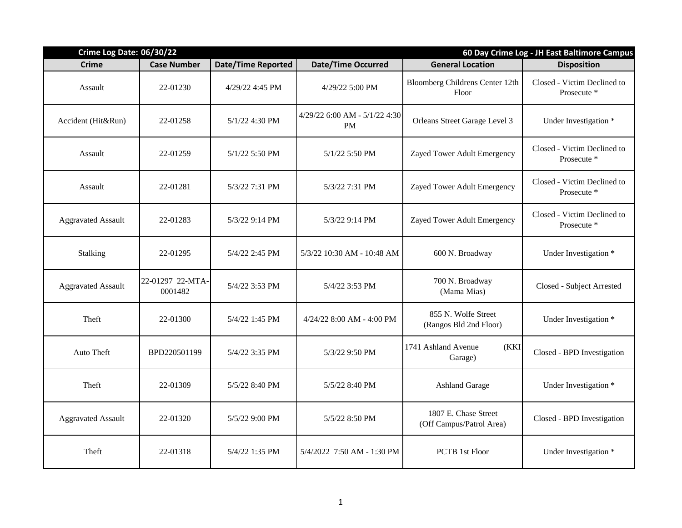| Crime Log Date: 06/30/22  |                             |                           |                                     | 60 Day Crime Log - JH East Baltimore Campus      |                                            |  |
|---------------------------|-----------------------------|---------------------------|-------------------------------------|--------------------------------------------------|--------------------------------------------|--|
| <b>Crime</b>              | <b>Case Number</b>          | <b>Date/Time Reported</b> | <b>Date/Time Occurred</b>           | <b>General Location</b>                          | <b>Disposition</b>                         |  |
| Assault                   | 22-01230                    | 4/29/22 4:45 PM           | 4/29/22 5:00 PM                     | Bloomberg Childrens Center 12th<br>Floor         | Closed - Victim Declined to<br>Prosecute * |  |
| Accident (Hit&Run)        | 22-01258                    | 5/1/22 4:30 PM            | 4/29/22 6:00 AM - 5/1/22 4:30<br>PM | Orleans Street Garage Level 3                    | Under Investigation *                      |  |
| Assault                   | 22-01259                    | 5/1/22 5:50 PM            | 5/1/22 5:50 PM                      | Zayed Tower Adult Emergency                      | Closed - Victim Declined to<br>Prosecute * |  |
| Assault                   | 22-01281                    | 5/3/22 7:31 PM            | 5/3/22 7:31 PM                      | Zayed Tower Adult Emergency                      | Closed - Victim Declined to<br>Prosecute * |  |
| <b>Aggravated Assault</b> | 22-01283                    | 5/3/22 9:14 PM            | 5/3/22 9:14 PM                      | Zayed Tower Adult Emergency                      | Closed - Victim Declined to<br>Prosecute * |  |
| Stalking                  | 22-01295                    | 5/4/22 2:45 PM            | 5/3/22 10:30 AM - 10:48 AM          | 600 N. Broadway                                  | Under Investigation *                      |  |
| <b>Aggravated Assault</b> | 22-01297 22-MTA-<br>0001482 | 5/4/22 3:53 PM            | 5/4/22 3:53 PM                      | 700 N. Broadway<br>(Mama Mias)                   | Closed - Subject Arrested                  |  |
| Theft                     | 22-01300                    | 5/4/22 1:45 PM            | 4/24/22 8:00 AM - 4:00 PM           | 855 N. Wolfe Street<br>(Rangos Bld 2nd Floor)    | Under Investigation *                      |  |
| Auto Theft                | BPD220501199                | 5/4/22 3:35 PM            | 5/3/22 9:50 PM                      | 1741 Ashland Avenue<br>(KKI)<br>Garage)          | Closed - BPD Investigation                 |  |
| Theft                     | 22-01309                    | 5/5/22 8:40 PM            | 5/5/22 8:40 PM                      | <b>Ashland Garage</b>                            | Under Investigation *                      |  |
| <b>Aggravated Assault</b> | 22-01320                    | 5/5/22 9:00 PM            | 5/5/22 8:50 PM                      | 1807 E. Chase Street<br>(Off Campus/Patrol Area) | Closed - BPD Investigation                 |  |
| Theft                     | 22-01318                    | 5/4/22 1:35 PM            | 5/4/2022 7:50 AM - 1:30 PM          | <b>PCTB</b> 1st Floor                            | Under Investigation *                      |  |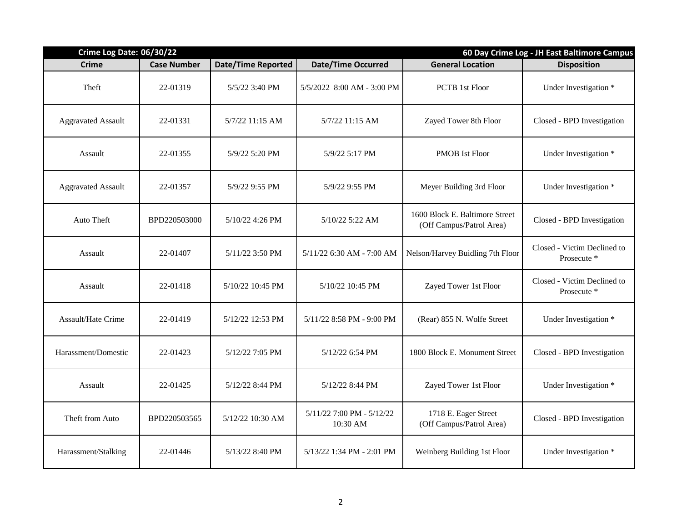| Crime Log Date: 06/30/22  |                    |                           |                                       | 60 Day Crime Log - JH East Baltimore Campus                |                                            |  |
|---------------------------|--------------------|---------------------------|---------------------------------------|------------------------------------------------------------|--------------------------------------------|--|
| <b>Crime</b>              | <b>Case Number</b> | <b>Date/Time Reported</b> | <b>Date/Time Occurred</b>             | <b>General Location</b>                                    | <b>Disposition</b>                         |  |
| Theft                     | 22-01319           | 5/5/22 3:40 PM            | 5/5/2022 8:00 AM - 3:00 PM            | <b>PCTB</b> 1st Floor                                      | Under Investigation *                      |  |
| <b>Aggravated Assault</b> | 22-01331           | 5/7/22 11:15 AM           | 5/7/22 11:15 AM                       | Zayed Tower 8th Floor                                      | Closed - BPD Investigation                 |  |
| Assault                   | 22-01355           | 5/9/22 5:20 PM            | 5/9/22 5:17 PM                        | <b>PMOB</b> Ist Floor                                      | Under Investigation *                      |  |
| <b>Aggravated Assault</b> | 22-01357           | 5/9/22 9:55 PM            | 5/9/22 9:55 PM                        | Meyer Building 3rd Floor                                   | Under Investigation *                      |  |
| Auto Theft                | BPD220503000       | 5/10/22 4:26 PM           | 5/10/22 5:22 AM                       | 1600 Block E. Baltimore Street<br>(Off Campus/Patrol Area) | Closed - BPD Investigation                 |  |
| Assault                   | 22-01407           | 5/11/22 3:50 PM           | 5/11/22 6:30 AM - 7:00 AM             | Nelson/Harvey Buidling 7th Floor                           | Closed - Victim Declined to<br>Prosecute * |  |
| Assault                   | 22-01418           | 5/10/22 10:45 PM          | 5/10/22 10:45 PM                      | Zayed Tower 1st Floor                                      | Closed - Victim Declined to<br>Prosecute * |  |
| <b>Assault/Hate Crime</b> | 22-01419           | 5/12/22 12:53 PM          | 5/11/22 8:58 PM - 9:00 PM             | (Rear) 855 N. Wolfe Street                                 | Under Investigation *                      |  |
| Harassment/Domestic       | 22-01423           | 5/12/22 7:05 PM           | 5/12/22 6:54 PM                       | 1800 Block E. Monument Street                              | Closed - BPD Investigation                 |  |
| Assault                   | 22-01425           | 5/12/22 8:44 PM           | 5/12/22 8:44 PM                       | Zayed Tower 1st Floor                                      | Under Investigation *                      |  |
| Theft from Auto           | BPD220503565       | 5/12/22 10:30 AM          | 5/11/22 7:00 PM - 5/12/22<br>10:30 AM | 1718 E. Eager Street<br>(Off Campus/Patrol Area)           | Closed - BPD Investigation                 |  |
| Harassment/Stalking       | 22-01446           | 5/13/22 8:40 PM           | 5/13/22 1:34 PM - 2:01 PM             | Weinberg Building 1st Floor                                | Under Investigation *                      |  |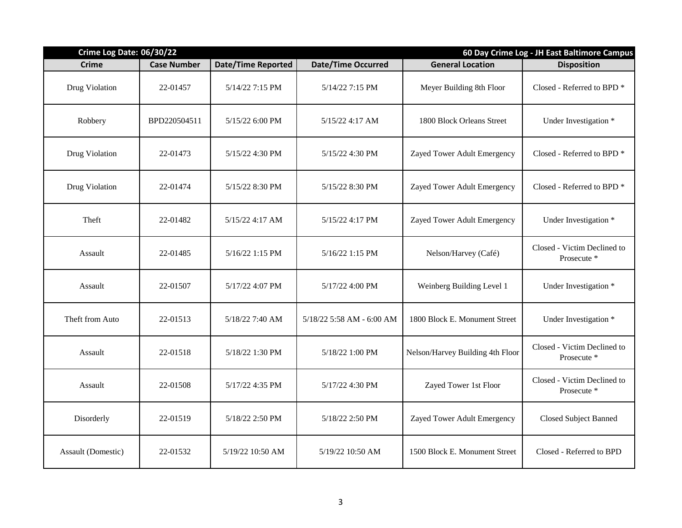| Crime Log Date: 06/30/22 |                    |                           |                           | 60 Day Crime Log - JH East Baltimore Campus |                                            |  |
|--------------------------|--------------------|---------------------------|---------------------------|---------------------------------------------|--------------------------------------------|--|
| <b>Crime</b>             | <b>Case Number</b> | <b>Date/Time Reported</b> | <b>Date/Time Occurred</b> | <b>General Location</b>                     | <b>Disposition</b>                         |  |
| Drug Violation           | 22-01457           | 5/14/22 7:15 PM           | 5/14/22 7:15 PM           | Meyer Building 8th Floor                    | Closed - Referred to BPD *                 |  |
| Robbery                  | BPD220504511       | 5/15/22 6:00 PM           | $5/15/22$ 4:17 AM         | 1800 Block Orleans Street                   | Under Investigation *                      |  |
| Drug Violation           | 22-01473           | 5/15/22 4:30 PM           | 5/15/22 4:30 PM           | Zayed Tower Adult Emergency                 | Closed - Referred to BPD *                 |  |
| Drug Violation           | 22-01474           | 5/15/22 8:30 PM           | 5/15/22 8:30 PM           | Zayed Tower Adult Emergency                 | Closed - Referred to BPD *                 |  |
| Theft                    | 22-01482           | 5/15/22 4:17 AM           | 5/15/22 4:17 PM           | Zayed Tower Adult Emergency                 | Under Investigation *                      |  |
| Assault                  | 22-01485           | 5/16/22 1:15 PM           | 5/16/22 1:15 PM           | Nelson/Harvey (Café)                        | Closed - Victim Declined to<br>Prosecute * |  |
| Assault                  | 22-01507           | 5/17/22 4:07 PM           | 5/17/22 4:00 PM           | Weinberg Building Level 1                   | Under Investigation *                      |  |
| Theft from Auto          | 22-01513           | 5/18/22 7:40 AM           | 5/18/22 5:58 AM - 6:00 AM | 1800 Block E. Monument Street               | Under Investigation *                      |  |
| Assault                  | 22-01518           | 5/18/22 1:30 PM           | 5/18/22 1:00 PM           | Nelson/Harvey Building 4th Floor            | Closed - Victim Declined to<br>Prosecute * |  |
| Assault                  | 22-01508           | 5/17/22 4:35 PM           | 5/17/22 4:30 PM           | Zayed Tower 1st Floor                       | Closed - Victim Declined to<br>Prosecute * |  |
| Disorderly               | 22-01519           | 5/18/22 2:50 PM           | 5/18/22 2:50 PM           | Zayed Tower Adult Emergency                 | <b>Closed Subject Banned</b>               |  |
| Assault (Domestic)       | 22-01532           | 5/19/22 10:50 AM          | 5/19/22 10:50 AM          | 1500 Block E. Monument Street               | Closed - Referred to BPD                   |  |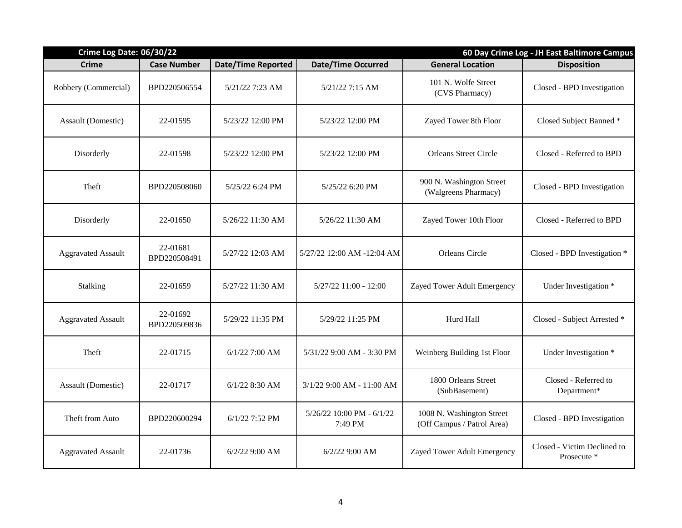| Crime Log Date: 06/30/22  |                          |                           |                                      | 60 Day Crime Log - JH East Baltimore Campus             |                                            |  |
|---------------------------|--------------------------|---------------------------|--------------------------------------|---------------------------------------------------------|--------------------------------------------|--|
| <b>Crime</b>              | <b>Case Number</b>       | <b>Date/Time Reported</b> | <b>Date/Time Occurred</b>            | <b>General Location</b>                                 | <b>Disposition</b>                         |  |
| Robbery (Commercial)      | BPD220506554             | 5/21/22 7:23 AM           | 5/21/22 7:15 AM                      | 101 N. Wolfe Street<br>(CVS Pharmacy)                   | Closed - BPD Investigation                 |  |
| Assault (Domestic)        | 22-01595                 | 5/23/22 12:00 PM          | 5/23/22 12:00 PM                     | Zayed Tower 8th Floor                                   | Closed Subject Banned *                    |  |
| Disorderly                | 22-01598                 | 5/23/22 12:00 PM          | 5/23/22 12:00 PM                     | <b>Orleans Street Circle</b>                            | Closed - Referred to BPD                   |  |
| Theft                     | BPD220508060             | 5/25/22 6:24 PM           | 5/25/22 6:20 PM                      | 900 N. Washington Street<br>(Walgreens Pharmacy)        | Closed - BPD Investigation                 |  |
| Disorderly                | 22-01650                 | 5/26/22 11:30 AM          | 5/26/22 11:30 AM                     | Zayed Tower 10th Floor                                  | Closed - Referred to BPD                   |  |
| <b>Aggravated Assault</b> | 22-01681<br>BPD220508491 | 5/27/22 12:03 AM          | 5/27/22 12:00 AM -12:04 AM           | <b>Orleans Circle</b>                                   | Closed - BPD Investigation *               |  |
| Stalking                  | 22-01659                 | 5/27/22 11:30 AM          | $5/27/22$ 11:00 - 12:00              | Zayed Tower Adult Emergency                             | Under Investigation *                      |  |
| <b>Aggravated Assault</b> | 22-01692<br>BPD220509836 | 5/29/22 11:35 PM          | 5/29/22 11:25 PM                     | Hurd Hall                                               | Closed - Subject Arrested *                |  |
| Theft                     | 22-01715                 | $6/1/22$ 7:00 AM          | 5/31/22 9:00 AM - 3:30 PM            | Weinberg Building 1st Floor                             | Under Investigation *                      |  |
| Assault (Domestic)        | 22-01717                 | $6/1/22$ 8:30 AM          | 3/1/22 9:00 AM - 11:00 AM            | 1800 Orleans Street<br>(SubBasement)                    | Closed - Referred to<br>Department*        |  |
| Theft from Auto           | BPD220600294             | 6/1/22 7:52 PM            | 5/26/22 10:00 PM - 6/1/22<br>7:49 PM | 1008 N. Washington Street<br>(Off Campus / Patrol Area) | Closed - BPD Investigation                 |  |
| <b>Aggravated Assault</b> | 22-01736                 | $6/2/22$ 9:00 AM          | $6/2/22$ 9:00 AM                     | Zayed Tower Adult Emergency                             | Closed - Victim Declined to<br>Prosecute * |  |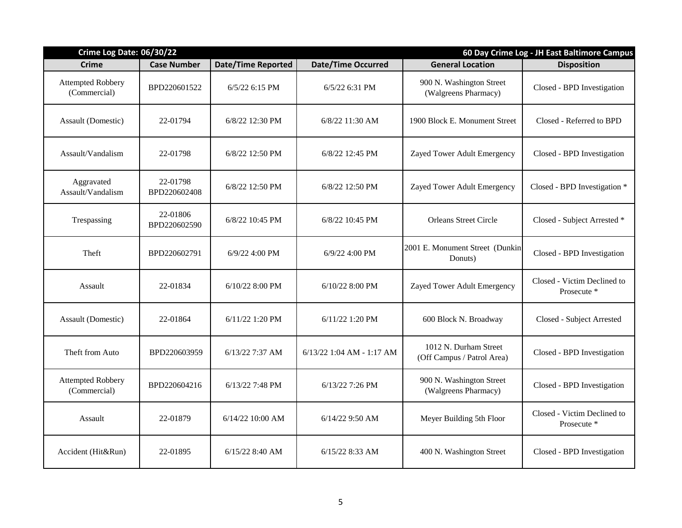| Crime Log Date: 06/30/22                 |                          |                           |                           | 60 Day Crime Log - JH East Baltimore Campus         |                                            |  |
|------------------------------------------|--------------------------|---------------------------|---------------------------|-----------------------------------------------------|--------------------------------------------|--|
| <b>Crime</b>                             | <b>Case Number</b>       | <b>Date/Time Reported</b> | <b>Date/Time Occurred</b> | <b>General Location</b>                             | <b>Disposition</b>                         |  |
| <b>Attempted Robbery</b><br>(Commercial) | BPD220601522             | $6/5/22$ 6:15 PM          | 6/5/22 6:31 PM            | 900 N. Washington Street<br>(Walgreens Pharmacy)    | Closed - BPD Investigation                 |  |
| Assault (Domestic)                       | 22-01794                 | 6/8/22 12:30 PM           | 6/8/22 11:30 AM           | 1900 Block E. Monument Street                       | Closed - Referred to BPD                   |  |
| Assault/Vandalism                        | 22-01798                 | 6/8/22 12:50 PM           | 6/8/22 12:45 PM           | Zayed Tower Adult Emergency                         | Closed - BPD Investigation                 |  |
| Aggravated<br>Assault/Vandalism          | 22-01798<br>BPD220602408 | 6/8/22 12:50 PM           | 6/8/22 12:50 PM           | Zayed Tower Adult Emergency                         | Closed - BPD Investigation *               |  |
| Trespassing                              | 22-01806<br>BPD220602590 | 6/8/22 10:45 PM           | 6/8/22 10:45 PM           | <b>Orleans Street Circle</b>                        | Closed - Subject Arrested *                |  |
| Theft                                    | BPD220602791             | 6/9/22 4:00 PM            | 6/9/22 4:00 PM            | 2001 E. Monument Street (Dunkin<br>Donuts)          | Closed - BPD Investigation                 |  |
| Assault                                  | 22-01834                 | 6/10/22 8:00 PM           | 6/10/22 8:00 PM           | Zayed Tower Adult Emergency                         | Closed - Victim Declined to<br>Prosecute * |  |
| Assault (Domestic)                       | 22-01864                 | 6/11/22 1:20 PM           | 6/11/22 1:20 PM           | 600 Block N. Broadway                               | Closed - Subject Arrested                  |  |
| Theft from Auto                          | BPD220603959             | 6/13/22 7:37 AM           | 6/13/22 1:04 AM - 1:17 AM | 1012 N. Durham Street<br>(Off Campus / Patrol Area) | Closed - BPD Investigation                 |  |
| <b>Attempted Robbery</b><br>(Commercial) | BPD220604216             | 6/13/22 7:48 PM           | 6/13/22 7:26 PM           | 900 N. Washington Street<br>(Walgreens Pharmacy)    | Closed - BPD Investigation                 |  |
| Assault                                  | 22-01879                 | 6/14/22 10:00 AM          | 6/14/22 9:50 AM           | Meyer Building 5th Floor                            | Closed - Victim Declined to<br>Prosecute * |  |
| Accident (Hit&Run)                       | 22-01895                 | 6/15/22 8:40 AM           | 6/15/22 8:33 AM           | 400 N. Washington Street                            | Closed - BPD Investigation                 |  |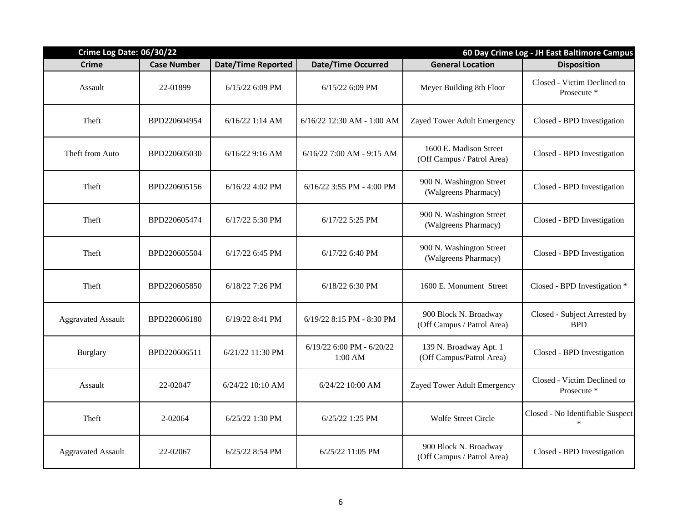| <b>Crime Log Date: 06/30/22</b> |                    |                           |                                      | 60 Day Crime Log - JH East Baltimore Campus          |                                            |  |
|---------------------------------|--------------------|---------------------------|--------------------------------------|------------------------------------------------------|--------------------------------------------|--|
| <b>Crime</b>                    | <b>Case Number</b> | <b>Date/Time Reported</b> | <b>Date/Time Occurred</b>            | <b>General Location</b>                              | <b>Disposition</b>                         |  |
| Assault                         | 22-01899           | 6/15/22 6:09 PM           | 6/15/22 6:09 PM                      | Meyer Building 8th Floor                             | Closed - Victim Declined to<br>Prosecute * |  |
| Theft                           | BPD220604954       | $6/16/22$ 1:14 AM         | 6/16/22 12:30 AM - 1:00 AM           | Zayed Tower Adult Emergency                          | Closed - BPD Investigation                 |  |
| Theft from Auto                 | BPD220605030       | 6/16/22 9:16 AM           | 6/16/22 7:00 AM - 9:15 AM            | 1600 E. Madison Street<br>(Off Campus / Patrol Area) | Closed - BPD Investigation                 |  |
| Theft                           | BPD220605156       | $6/16/22$ 4:02 PM         | $6/16/22$ 3:55 PM - 4:00 PM          | 900 N. Washington Street<br>(Walgreens Pharmacy)     | Closed - BPD Investigation                 |  |
| Theft                           | BPD220605474       | $6/17/22$ 5:30 PM         | 6/17/22 5:25 PM                      | 900 N. Washington Street<br>(Walgreens Pharmacy)     | Closed - BPD Investigation                 |  |
| Theft                           | BPD220605504       | $6/17/22$ 6:45 PM         | $6/17/22$ 6:40 PM                    | 900 N. Washington Street<br>(Walgreens Pharmacy)     | Closed - BPD Investigation                 |  |
| Theft                           | BPD220605850       | 6/18/22 7:26 PM           | $6/18/22$ 6:30 PM                    | 1600 E. Monument Street                              | Closed - BPD Investigation *               |  |
| <b>Aggravated Assault</b>       | BPD220606180       | 6/19/22 8:41 PM           | 6/19/22 8:15 PM - 8:30 PM            | 900 Block N. Broadway<br>(Off Campus / Patrol Area)  | Closed - Subject Arrested by<br><b>BPD</b> |  |
| <b>Burglary</b>                 | BPD220606511       | 6/21/22 11:30 PM          | 6/19/22 6:00 PM - 6/20/22<br>1:00 AM | 139 N. Broadway Apt. 1<br>(Off Campus/Patrol Area)   | Closed - BPD Investigation                 |  |
| Assault                         | 22-02047           | 6/24/22 10:10 AM          | 6/24/22 10:00 AM                     | Zayed Tower Adult Emergency                          | Closed - Victim Declined to<br>Prosecute * |  |
| Theft                           | 2-02064            | 6/25/22 1:30 PM           | 6/25/22 1:25 PM                      | <b>Wolfe Street Circle</b>                           | Closed - No Identifiable Suspect<br>$\ast$ |  |
| <b>Aggravated Assault</b>       | 22-02067           | 6/25/22 8:54 PM           | $6/25/22$ 11:05 PM                   | 900 Block N. Broadway<br>(Off Campus / Patrol Area)  | Closed - BPD Investigation                 |  |